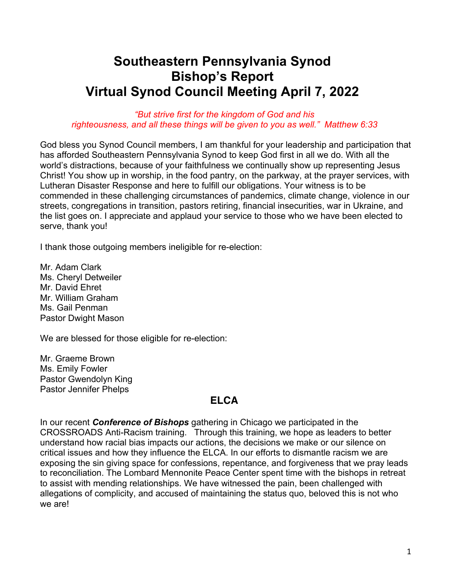# **Southeastern Pennsylvania Synod Bishop's Report Virtual Synod Council Meeting April 7, 2022**

#### *"But strive first for the kingdom of God and his righteousness, and all these things will be given to you as well." Matthew 6:33*

God bless you Synod Council members, I am thankful for your leadership and participation that has afforded Southeastern Pennsylvania Synod to keep God first in all we do. With all the world's distractions, because of your faithfulness we continually show up representing Jesus Christ! You show up in worship, in the food pantry, on the parkway, at the prayer services, with Lutheran Disaster Response and here to fulfill our obligations. Your witness is to be commended in these challenging circumstances of pandemics, climate change, violence in our streets, congregations in transition, pastors retiring, financial insecurities, war in Ukraine, and the list goes on. I appreciate and applaud your service to those who we have been elected to serve, thank you!

I thank those outgoing members ineligible for re-election:

Mr. Adam Clark Ms. Cheryl Detweiler Mr. David Ehret Mr. William Graham Ms. Gail Penman Pastor Dwight Mason

We are blessed for those eligible for re-election:

Mr. Graeme Brown Ms. Emily Fowler Pastor Gwendolyn King Pastor Jennifer Phelps

## **ELCA**

In our recent *Conference of Bishops* gathering in Chicago we participated in the CROSSROADS Anti-Racism training. Through this training, we hope as leaders to better understand how racial bias impacts our actions, the decisions we make or our silence on critical issues and how they influence the ELCA. In our efforts to dismantle racism we are exposing the sin giving space for confessions, repentance, and forgiveness that we pray leads to reconciliation. The Lombard Mennonite Peace Center spent time with the bishops in retreat to assist with mending relationships. We have witnessed the pain, been challenged with allegations of complicity, and accused of maintaining the status quo, beloved this is not who we are!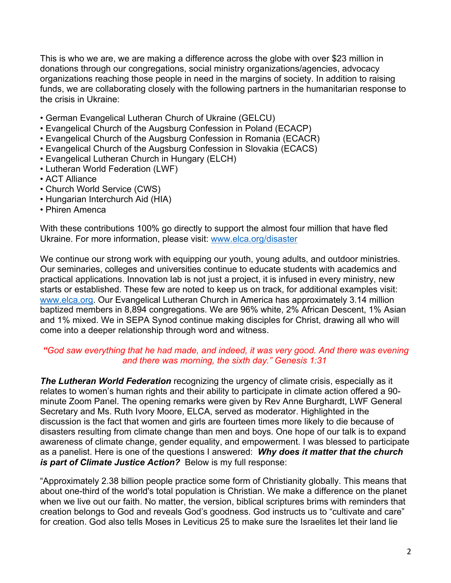This is who we are, we are making a difference across the globe with over \$23 million in donations through our congregations, social ministry organizations/agencies, advocacy organizations reaching those people in need in the margins of society. In addition to raising funds, we are collaborating closely with the following partners in the humanitarian response to the crisis in Ukraine:

- German Evangelical Lutheran Church of Ukraine (GELCU)
- Evangelical Church of the Augsburg Confession in Poland (ECACP)
- Evangelical Church of the Augsburg Confession in Romania (ECACR)
- Evangelical Church of the Augsburg Confession in Slovakia (ECACS)
- Evangelical Lutheran Church in Hungary (ELCH)
- Lutheran World Federation (LWF)
- ACT Alliance
- Church World Service (CWS)
- Hungarian Interchurch Aid (HIA)
- Phiren Amenca

With these contributions 100% go directly to support the almost four million that have fled Ukraine. For more information, please visit: www.elca.org/disaster

We continue our strong work with equipping our youth, young adults, and outdoor ministries. Our seminaries, colleges and universities continue to educate students with academics and practical applications. Innovation lab is not just a project, it is infused in every ministry, new starts or established. These few are noted to keep us on track, for additional examples visit: www.elca.org. Our Evangelical Lutheran Church in America has approximately 3.14 million baptized members in 8,894 congregations. We are 96% white, 2% African Descent, 1% Asian and 1% mixed. We in SEPA Synod continue making disciples for Christ, drawing all who will come into a deeper relationship through word and witness.

### *"God saw everything that he had made, and indeed, it was very good. And there was evening and there was morning, the sixth day." Genesis 1:31*

*The Lutheran World Federation* recognizing the urgency of climate crisis, especially as it relates to women's human rights and their ability to participate in climate action offered a 90 minute Zoom Panel. The opening remarks were given by Rev Anne Burghardt, LWF General Secretary and Ms. Ruth Ivory Moore, ELCA, served as moderator. Highlighted in the discussion is the fact that women and girls are fourteen times more likely to die because of disasters resulting from climate change than men and boys. One hope of our talk is to expand awareness of climate change, gender equality, and empowerment. I was blessed to participate as a panelist. Here is one of the questions I answered: *Why does it matter that the church is part of Climate Justice Action?* Below is my full response:

"Approximately 2.38 billion people practice some form of Christianity globally. This means that about one-third of the world's total population is Christian. We make a difference on the planet when we live out our faith. No matter, the version, biblical scriptures brims with reminders that creation belongs to God and reveals God's goodness. God instructs us to "cultivate and care" for creation. God also tells Moses in Leviticus 25 to make sure the Israelites let their land lie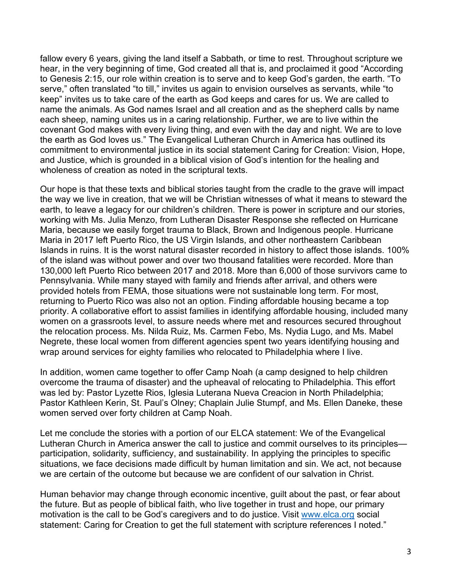fallow every 6 years, giving the land itself a Sabbath, or time to rest. Throughout scripture we hear, in the very beginning of time, God created all that is, and proclaimed it good "According to Genesis 2:15, our role within creation is to serve and to keep God's garden, the earth. "To serve," often translated "to till," invites us again to envision ourselves as servants, while "to keep" invites us to take care of the earth as God keeps and cares for us. We are called to name the animals. As God names Israel and all creation and as the shepherd calls by name each sheep, naming unites us in a caring relationship. Further, we are to live within the covenant God makes with every living thing, and even with the day and night. We are to love the earth as God loves us." The Evangelical Lutheran Church in America has outlined its commitment to environmental justice in its social statement Caring for Creation: Vision, Hope, and Justice, which is grounded in a biblical vision of God's intention for the healing and wholeness of creation as noted in the scriptural texts.

Our hope is that these texts and biblical stories taught from the cradle to the grave will impact the way we live in creation, that we will be Christian witnesses of what it means to steward the earth, to leave a legacy for our children's children. There is power in scripture and our stories, working with Ms. Julia Menzo, from Lutheran Disaster Response she reflected on Hurricane Maria, because we easily forget trauma to Black, Brown and Indigenous people. Hurricane Maria in 2017 left Puerto Rico, the US Virgin Islands, and other northeastern Caribbean Islands in ruins. It is the worst natural disaster recorded in history to affect those islands. 100% of the island was without power and over two thousand fatalities were recorded. More than 130,000 left Puerto Rico between 2017 and 2018. More than 6,000 of those survivors came to Pennsylvania. While many stayed with family and friends after arrival, and others were provided hotels from FEMA, those situations were not sustainable long term. For most, returning to Puerto Rico was also not an option. Finding affordable housing became a top priority. A collaborative effort to assist families in identifying affordable housing, included many women on a grassroots level, to assure needs where met and resources secured throughout the relocation process. Ms. Nilda Ruiz, Ms. Carmen Febo, Ms. Nydia Lugo, and Ms. Mabel Negrete, these local women from different agencies spent two years identifying housing and wrap around services for eighty families who relocated to Philadelphia where I live.

In addition, women came together to offer Camp Noah (a camp designed to help children overcome the trauma of disaster) and the upheaval of relocating to Philadelphia. This effort was led by: Pastor Lyzette Rios, Iglesia Luterana Nueva Creacion in North Philadelphia; Pastor Kathleen Kerin, St. Paul's Olney; Chaplain Julie Stumpf, and Ms. Ellen Daneke, these women served over forty children at Camp Noah.

Let me conclude the stories with a portion of our ELCA statement: We of the Evangelical Lutheran Church in America answer the call to justice and commit ourselves to its principles participation, solidarity, sufficiency, and sustainability. In applying the principles to specific situations, we face decisions made difficult by human limitation and sin. We act, not because we are certain of the outcome but because we are confident of our salvation in Christ.

Human behavior may change through economic incentive, guilt about the past, or fear about the future. But as people of biblical faith, who live together in trust and hope, our primary motivation is the call to be God's caregivers and to do justice. Visit www.elca.org social statement: Caring for Creation to get the full statement with scripture references I noted."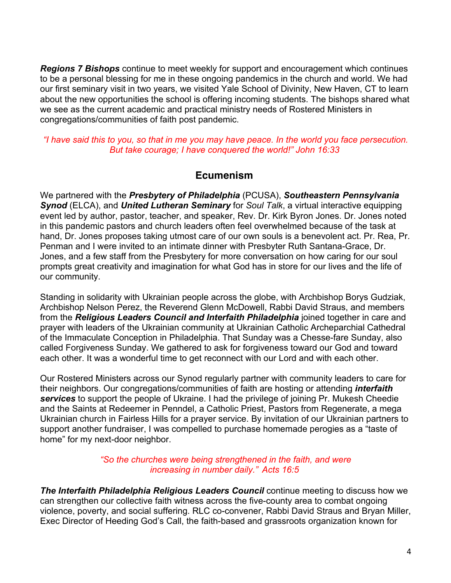*Regions 7 Bishops* continue to meet weekly for support and encouragement which continues to be a personal blessing for me in these ongoing pandemics in the church and world. We had our first seminary visit in two years, we visited Yale School of Divinity, New Haven, CT to learn about the new opportunities the school is offering incoming students. The bishops shared what we see as the current academic and practical ministry needs of Rostered Ministers in congregations/communities of faith post pandemic.

*"I have said this to you, so that in me you may have peace. In the world you face persecution. But take courage; I have conquered the world!" John 16:33*

### **Ecumenism**

We partnered with the *Presbytery of Philadelphia* (PCUSA), *Southeastern Pennsylvania Synod* (ELCA), and *United Lutheran Seminary* for *Soul Talk*, a virtual interactive equipping event led by author, pastor, teacher, and speaker, Rev. Dr. Kirk Byron Jones. Dr. Jones noted in this pandemic pastors and church leaders often feel overwhelmed because of the task at hand, Dr. Jones proposes taking utmost care of our own souls is a benevolent act. Pr. Rea, Pr. Penman and I were invited to an intimate dinner with Presbyter Ruth Santana-Grace, Dr. Jones, and a few staff from the Presbytery for more conversation on how caring for our soul prompts great creativity and imagination for what God has in store for our lives and the life of our community.

Standing in solidarity with Ukrainian people across the globe, with Archbishop Borys Gudziak, Archbishop Nelson Perez, the Reverend Glenn McDowell, Rabbi David Straus, and members from the *Religious Leaders Council and Interfaith Philadelphia* joined together in care and prayer with leaders of the Ukrainian community at Ukrainian Catholic Archeparchial Cathedral of the Immaculate Conception in Philadelphia. That Sunday was a Chesse-fare Sunday, also called Forgiveness Sunday. We gathered to ask for forgiveness toward our God and toward each other. It was a wonderful time to get reconnect with our Lord and with each other.

Our Rostered Ministers across our Synod regularly partner with community leaders to care for their neighbors. Our congregations/communities of faith are hosting or attending *interfaith services* to support the people of Ukraine. I had the privilege of joining Pr. Mukesh Cheedie and the Saints at Redeemer in Penndel, a Catholic Priest, Pastors from Regenerate, a mega Ukrainian church in Fairless Hills for a prayer service. By invitation of our Ukrainian partners to support another fundraiser, I was compelled to purchase homemade perogies as a "taste of home" for my next-door neighbor.

### *"So the churches were being strengthened in the faith, and were increasing in number daily." Acts 16:5*

*The Interfaith Philadelphia Religious Leaders Council* continue meeting to discuss how we can strengthen our collective faith witness across the five-county area to combat ongoing violence, poverty, and social suffering. RLC co-convener, Rabbi David Straus and Bryan Miller, Exec Director of Heeding God's Call, the faith-based and grassroots organization known for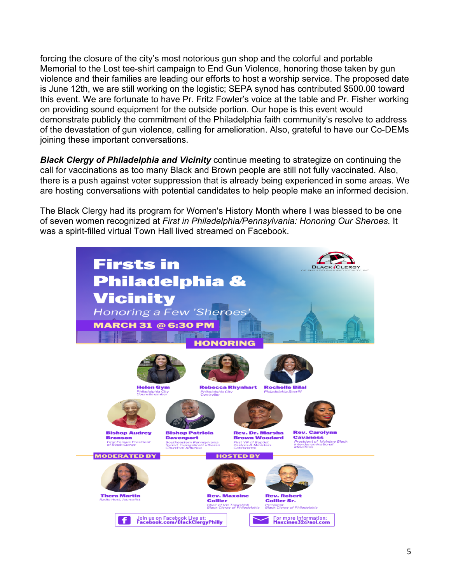forcing the closure of the city's most notorious gun shop and the colorful and portable Memorial to the Lost tee-shirt campaign to End Gun Violence, honoring those taken by gun violence and their families are leading our efforts to host a worship service. The proposed date is June 12th, we are still working on the logistic; SEPA synod has contributed \$500.00 toward this event. We are fortunate to have Pr. Fritz Fowler's voice at the table and Pr. Fisher working on providing sound equipment for the outside portion. Our hope is this event would demonstrate publicly the commitment of the Philadelphia faith community's resolve to address of the devastation of gun violence, calling for amelioration. Also, grateful to have our Co-DEMs joining these important conversations.

*Black Clergy of Philadelphia and Vicinity* continue meeting to strategize on continuing the call for vaccinations as too many Black and Brown people are still not fully vaccinated. Also, there is a push against voter suppression that is already being experienced in some areas. We are hosting conversations with potential candidates to help people make an informed decision.

The Black Clergy had its program for Women's History Month where I was blessed to be one of seven women recognized at *First in Philadelphia/Pennsylvania: Honoring Our Sheroes.* It was a spirit-filled virtual Town Hall lived streamed on Facebook.

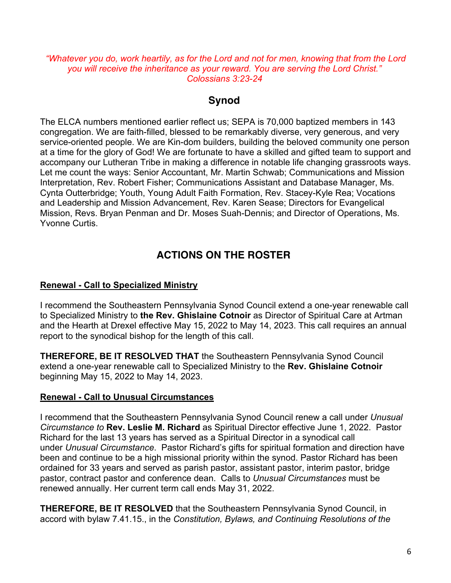*"Whatever you do, work heartily, as for the Lord and not for men, knowing that from the Lord you will receive the inheritance as your reward. You are serving the Lord Christ." Colossians 3:23-24*

### **Synod**

The ELCA numbers mentioned earlier reflect us; SEPA is 70,000 baptized members in 143 congregation. We are faith-filled, blessed to be remarkably diverse, very generous, and very service-oriented people. We are Kin-dom builders, building the beloved community one person at a time for the glory of God! We are fortunate to have a skilled and gifted team to support and accompany our Lutheran Tribe in making a difference in notable life changing grassroots ways. Let me count the ways: Senior Accountant, Mr. Martin Schwab; Communications and Mission Interpretation, Rev. Robert Fisher; Communications Assistant and Database Manager, Ms. Cynta Outterbridge; Youth, Young Adult Faith Formation, Rev. Stacey-Kyle Rea; Vocations and Leadership and Mission Advancement, Rev. Karen Sease; Directors for Evangelical Mission, Revs. Bryan Penman and Dr. Moses Suah-Dennis; and Director of Operations, Ms. Yvonne Curtis.

# **ACTIONS ON THE ROSTER**

### **Renewal - Call to Specialized Ministry**

I recommend the Southeastern Pennsylvania Synod Council extend a one-year renewable call to Specialized Ministry to **the Rev. Ghislaine Cotnoir** as Director of Spiritual Care at Artman and the Hearth at Drexel effective May 15, 2022 to May 14, 2023. This call requires an annual report to the synodical bishop for the length of this call.

**THEREFORE, BE IT RESOLVED THAT** the Southeastern Pennsylvania Synod Council extend a one-year renewable call to Specialized Ministry to the **Rev. Ghislaine Cotnoir**  beginning May 15, 2022 to May 14, 2023.

### **Renewal - Call to Unusual Circumstances**

I recommend that the Southeastern Pennsylvania Synod Council renew a call under *Unusual Circumstance to* **Rev. Leslie M. Richard** as Spiritual Director effective June 1, 2022. Pastor Richard for the last 13 years has served as a Spiritual Director in a synodical call under *Unusual Circumstance*. Pastor Richard's gifts for spiritual formation and direction have been and continue to be a high missional priority within the synod. Pastor Richard has been ordained for 33 years and served as parish pastor, assistant pastor, interim pastor, bridge pastor, contract pastor and conference dean. Calls to *Unusual Circumstances* must be renewed annually. Her current term call ends May 31, 2022.

**THEREFORE, BE IT RESOLVED** that the Southeastern Pennsylvania Synod Council, in accord with bylaw 7.41.15., in the *Constitution, Bylaws, and Continuing Resolutions of the*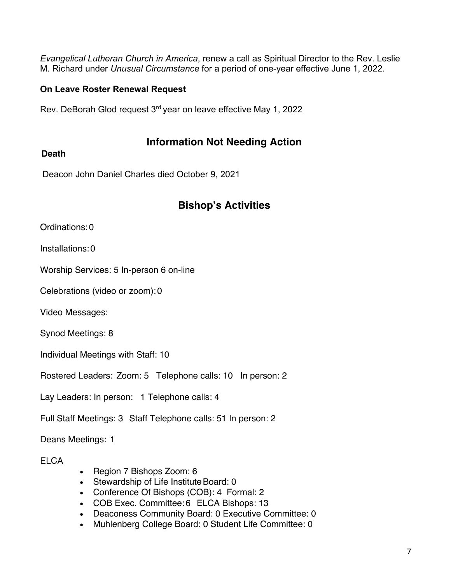*Evangelical Lutheran Church in America*, renew a call as Spiritual Director to the Rev. Leslie M. Richard under *Unusual Circumstance* for a period of one-year effective June 1, 2022.

### **On Leave Roster Renewal Request**

Rev. DeBorah Glod request 3rd year on leave effective May 1, 2022

## **Information Not Needing Action**

### **Death**

Deacon John Daniel Charles died October 9, 2021

# **Bishop's Activities**

Ordinations:0

Installations:0

Worship Services: 5 In-person 6 on-line

Celebrations (video or zoom):0

Video Messages:

Synod Meetings: 8

Individual Meetings with Staff: 10

Rostered Leaders: Zoom: 5 Telephone calls: 10 In person: 2

Lay Leaders: In person: 1 Telephone calls: 4

Full Staff Meetings: 3 Staff Telephone calls: 51 In person: 2

Deans Meetings:  1

**ELCA** 

- Region 7 Bishops Zoom: 6
- Stewardship of Life Institute Board: 0
- Conference Of Bishops (COB): 4 Formal: 2
- COB Exec. Committee:6 ELCA Bishops: 13
- Deaconess Community Board: 0 Executive Committee: 0
- Muhlenberg College Board: 0 Student Life Committee: 0